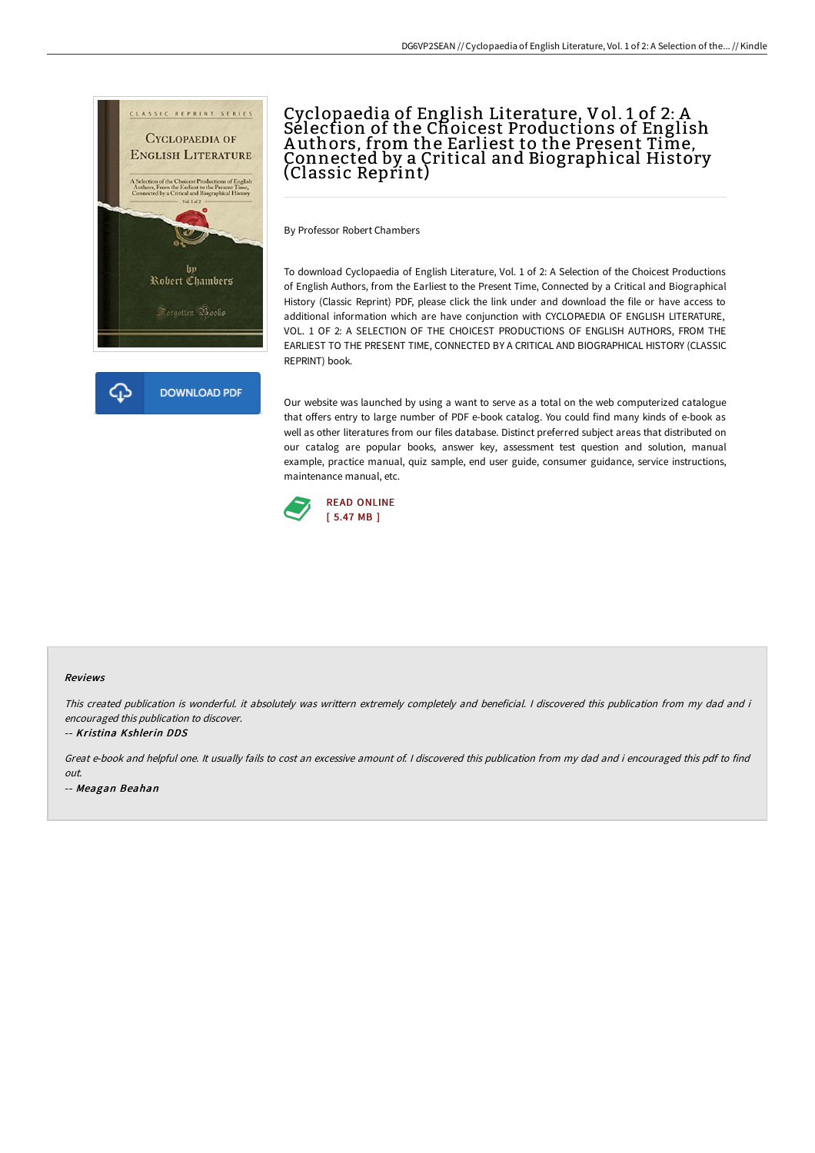

# Cyclopaedia of English Literature, Vol. 1 of 2: A Selection of the Choicest Productions of English A uthors, from the Earliest to the Present Time, Connected by a Critical and Biographical History (Classic Reprint)

By Professor Robert Chambers

To download Cyclopaedia of English Literature, Vol. 1 of 2: A Selection of the Choicest Productions of English Authors, from the Earliest to the Present Time, Connected by a Critical and Biographical History (Classic Reprint) PDF, please click the link under and download the file or have access to additional information which are have conjunction with CYCLOPAEDIA OF ENGLISH LITERATURE, VOL. 1 OF 2: A SELECTION OF THE CHOICEST PRODUCTIONS OF ENGLISH AUTHORS, FROM THE EARLIEST TO THE PRESENT TIME, CONNECTED BY A CRITICAL AND BIOGRAPHICAL HISTORY (CLASSIC REPRINT) book.

Our website was launched by using a want to serve as a total on the web computerized catalogue that offers entry to large number of PDF e-book catalog. You could find many kinds of e-book as well as other literatures from our files database. Distinct preferred subject areas that distributed on our catalog are popular books, answer key, assessment test question and solution, manual example, practice manual, quiz sample, end user guide, consumer guidance, service instructions, maintenance manual, etc.



#### Reviews

This created publication is wonderful. it absolutely was writtern extremely completely and beneficial. I discovered this publication from my dad and i encouraged this publication to discover.

-- Kristina Kshlerin DDS

Great e-book and helpful one. It usually fails to cost an excessive amount of. <sup>I</sup> discovered this publication from my dad and i encouraged this pdf to find out.

-- Meagan Beahan